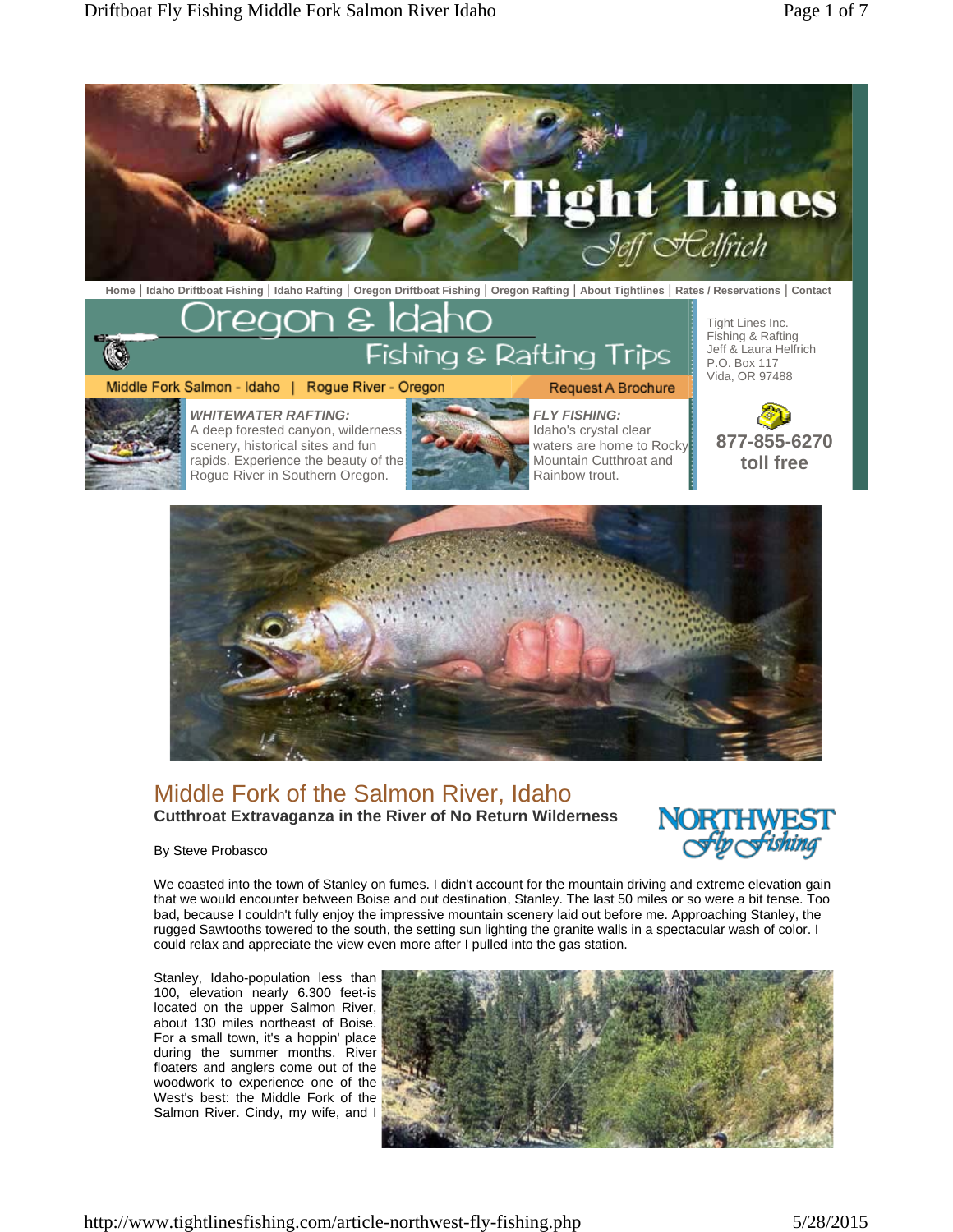Rogue River in Southern Oregon.



**Home** | **Idaho Driftboat Fishing** | **Idaho Rafting** | **Oregon Driftboat Fishing** | **Oregon Rafting** | **About Tightlines** | **Rates / Reservations** | **Contact**

reaon & ldal Tight Lines Inc. Fishing & Rafting  $\overline{\mathbb{Q}}$ Fishing & Rafting Trips Jeff & Laura Helfrich P.O. Box 117 Vida, OR 97488 Middle Fork Salmon - Idaho | Rogue River - Oregon **Request A Brochure** *WHITEWATER RAFTING: FLY FISHING:* A deep forested canyon, wilderness Idaho's crystal clear **877-855-6270**  waters are home to Rocky scenery, historical sites and fun Mountain Cutthroat and rapids. Experience the beauty of the **toll free** 



Rainbow trout.

## Middle Fork of the Salmon River, Idaho **Cutthroat Extravaganza in the River of No Return Wilderness**



By Steve Probasco

We coasted into the town of Stanley on fumes. I didn't account for the mountain driving and extreme elevation gain that we would encounter between Boise and out destination, Stanley. The last 50 miles or so were a bit tense. Too bad, because I couldn't fully enjoy the impressive mountain scenery laid out before me. Approaching Stanley, the rugged Sawtooths towered to the south, the setting sun lighting the granite walls in a spectacular wash of color. I could relax and appreciate the view even more after I pulled into the gas station.

Stanley, Idaho-population less than 100, elevation nearly 6.300 feet-is located on the upper Salmon River, about 130 miles northeast of Boise. For a small town, it's a hoppin' place during the summer months. River floaters and anglers come out of the woodwork to experience one of the West's best: the Middle Fork of the Salmon River. Cindy, my wife, and I

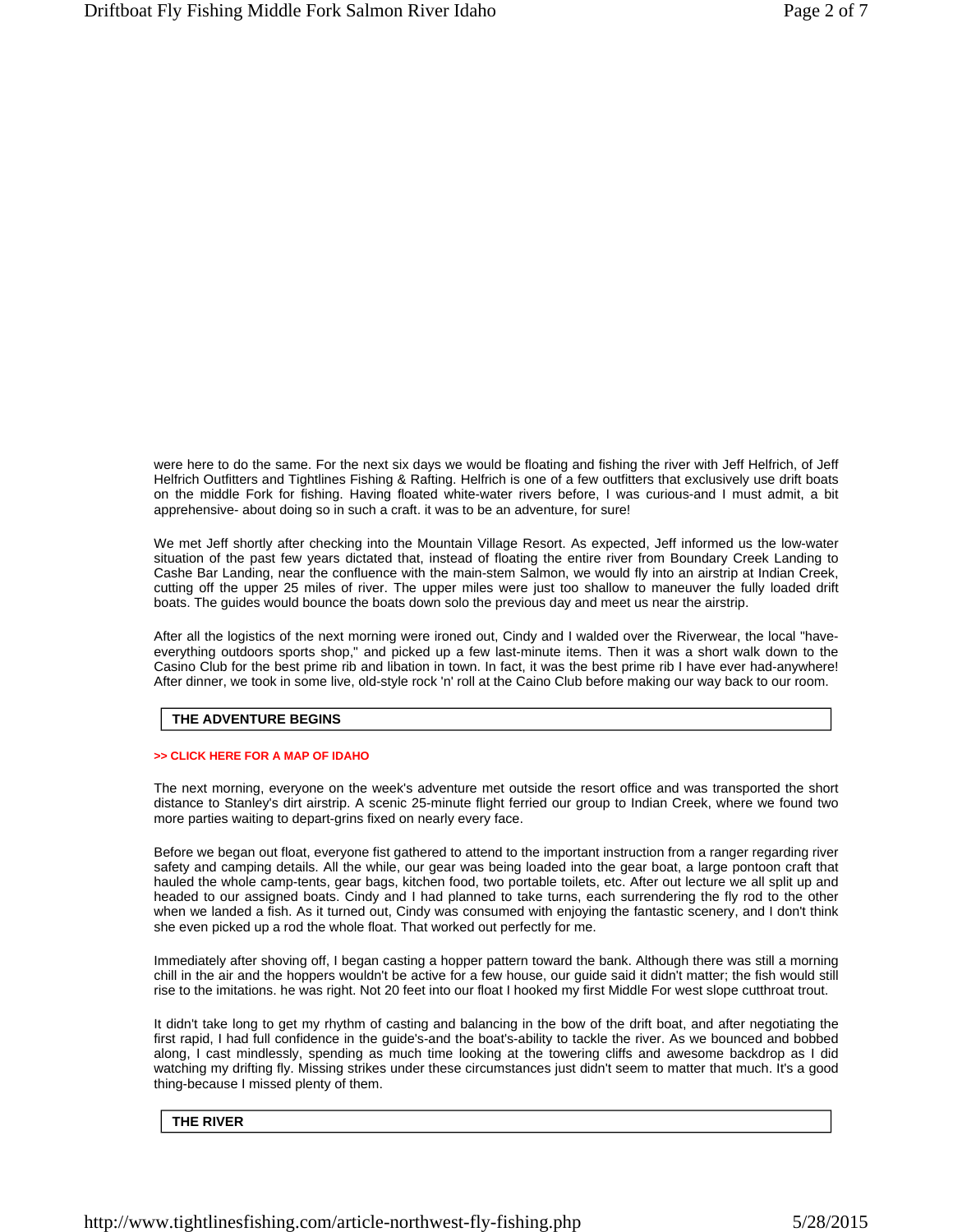were here to do the same. For the next six days we would be floating and fishing the river with Jeff Helfrich, of Jeff Helfrich Outfitters and Tightlines Fishing & Rafting. Helfrich is one of a few outfitters that exclusively use drift boats on the middle Fork for fishing. Having floated white-water rivers before, I was curious-and I must admit, a bit apprehensive- about doing so in such a craft. it was to be an adventure, for sure!

We met Jeff shortly after checking into the Mountain Village Resort. As expected, Jeff informed us the low-water situation of the past few years dictated that, instead of floating the entire river from Boundary Creek Landing to Cashe Bar Landing, near the confluence with the main-stem Salmon, we would fly into an airstrip at Indian Creek, cutting off the upper 25 miles of river. The upper miles were just too shallow to maneuver the fully loaded drift boats. The guides would bounce the boats down solo the previous day and meet us near the airstrip.

After all the logistics of the next morning were ironed out, Cindy and I walded over the Riverwear, the local "haveeverything outdoors sports shop," and picked up a few last-minute items. Then it was a short walk down to the Casino Club for the best prime rib and libation in town. In fact, it was the best prime rib I have ever had-anywhere! After dinner, we took in some live, old-style rock 'n' roll at the Caino Club before making our way back to our room.

## **THE ADVENTURE BEGINS**

### **>> CLICK HERE FOR A MAP OF IDAHO**

The next morning, everyone on the week's adventure met outside the resort office and was transported the short distance to Stanley's dirt airstrip. A scenic 25-minute flight ferried our group to Indian Creek, where we found two more parties waiting to depart-grins fixed on nearly every face.

Before we began out float, everyone fist gathered to attend to the important instruction from a ranger regarding river safety and camping details. All the while, our gear was being loaded into the gear boat, a large pontoon craft that hauled the whole camp-tents, gear bags, kitchen food, two portable toilets, etc. After out lecture we all split up and headed to our assigned boats. Cindy and I had planned to take turns, each surrendering the fly rod to the other when we landed a fish. As it turned out, Cindy was consumed with enjoying the fantastic scenery, and I don't think she even picked up a rod the whole float. That worked out perfectly for me.

Immediately after shoving off, I began casting a hopper pattern toward the bank. Although there was still a morning chill in the air and the hoppers wouldn't be active for a few house, our guide said it didn't matter; the fish would still rise to the imitations. he was right. Not 20 feet into our float I hooked my first Middle For west slope cutthroat trout.

It didn't take long to get my rhythm of casting and balancing in the bow of the drift boat, and after negotiating the first rapid, I had full confidence in the guide's-and the boat's-ability to tackle the river. As we bounced and bobbed along, I cast mindlessly, spending as much time looking at the towering cliffs and awesome backdrop as I did watching my drifting fly. Missing strikes under these circumstances just didn't seem to matter that much. It's a good thing-because I missed plenty of them.

### **THE RIVER**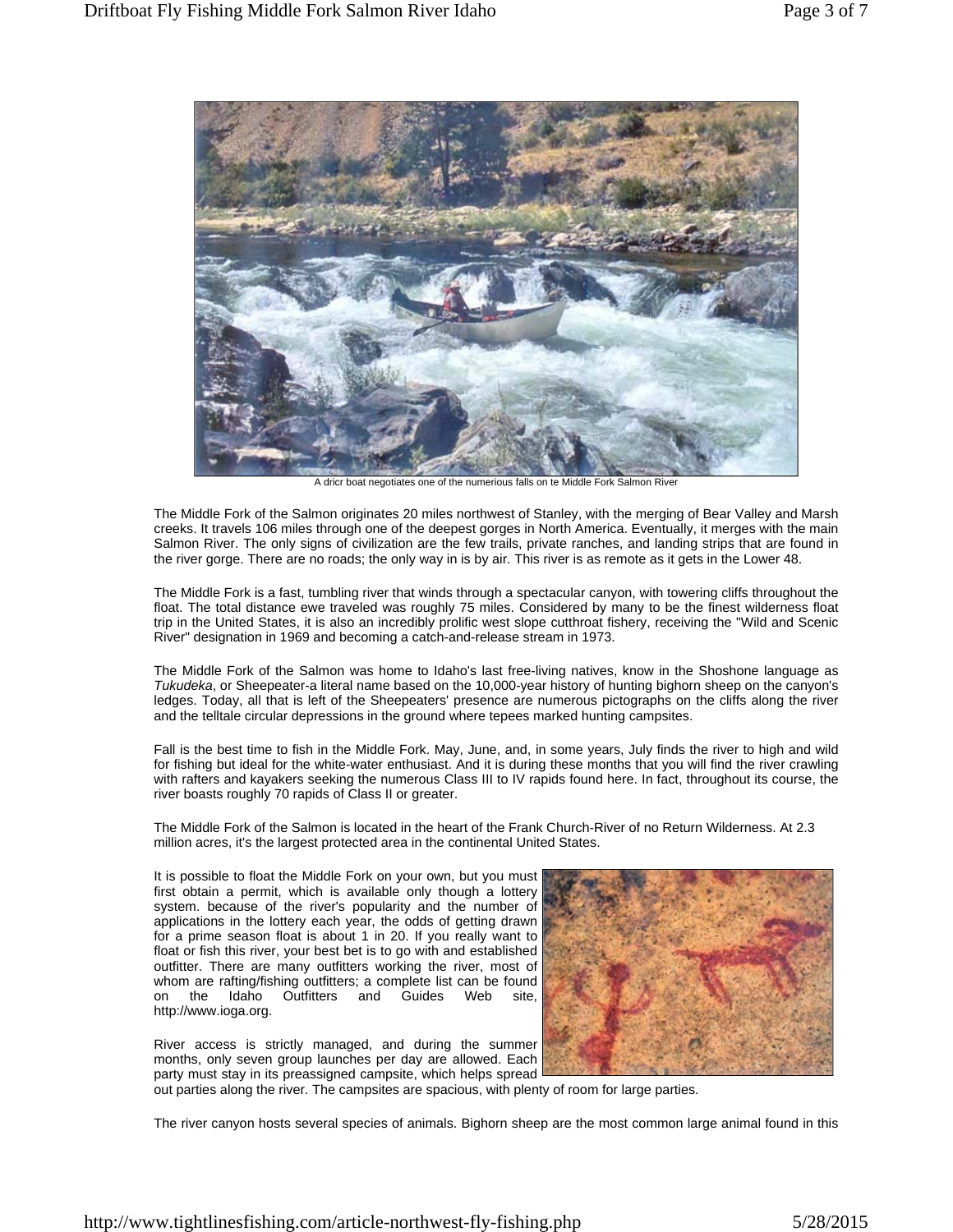

A dricr boat negotiates one of the numerious falls on te Middle Fork Salmon River

The Middle Fork of the Salmon originates 20 miles northwest of Stanley, with the merging of Bear Valley and Marsh creeks. It travels 106 miles through one of the deepest gorges in North America. Eventually, it merges with the main Salmon River. The only signs of civilization are the few trails, private ranches, and landing strips that are found in the river gorge. There are no roads; the only way in is by air. This river is as remote as it gets in the Lower 48.

The Middle Fork is a fast, tumbling river that winds through a spectacular canyon, with towering cliffs throughout the float. The total distance ewe traveled was roughly 75 miles. Considered by many to be the finest wilderness float trip in the United States, it is also an incredibly prolific west slope cutthroat fishery, receiving the "Wild and Scenic River" designation in 1969 and becoming a catch-and-release stream in 1973.

The Middle Fork of the Salmon was home to Idaho's last free-living natives, know in the Shoshone language as *Tukudeka*, or Sheepeater-a literal name based on the 10,000-year history of hunting bighorn sheep on the canyon's ledges. Today, all that is left of the Sheepeaters' presence are numerous pictographs on the cliffs along the river and the telltale circular depressions in the ground where tepees marked hunting campsites.

Fall is the best time to fish in the Middle Fork. May, June, and, in some years, July finds the river to high and wild for fishing but ideal for the white-water enthusiast. And it is during these months that you will find the river crawling with rafters and kayakers seeking the numerous Class III to IV rapids found here. In fact, throughout its course, the river boasts roughly 70 rapids of Class II or greater.

The Middle Fork of the Salmon is located in the heart of the Frank Church-River of no Return Wilderness. At 2.3 million acres, it's the largest protected area in the continental United States.

It is possible to float the Middle Fork on your own, but you must first obtain a permit, which is available only though a lottery system. because of the river's popularity and the number of applications in the lottery each year, the odds of getting drawn for a prime season float is about 1 in 20. If you really want to float or fish this river, your best bet is to go with and established outfitter. There are many outfitters working the river, most of whom are rafting/fishing outfitters; a complete list can be found on the Idaho Outfitters and Guides Web site, http://www.ioga.org.

River access is strictly managed, and during the summer months, only seven group launches per day are allowed. Each party must stay in its preassigned campsite, which helps spread



out parties along the river. The campsites are spacious, with plenty of room for large parties.

The river canyon hosts several species of animals. Bighorn sheep are the most common large animal found in this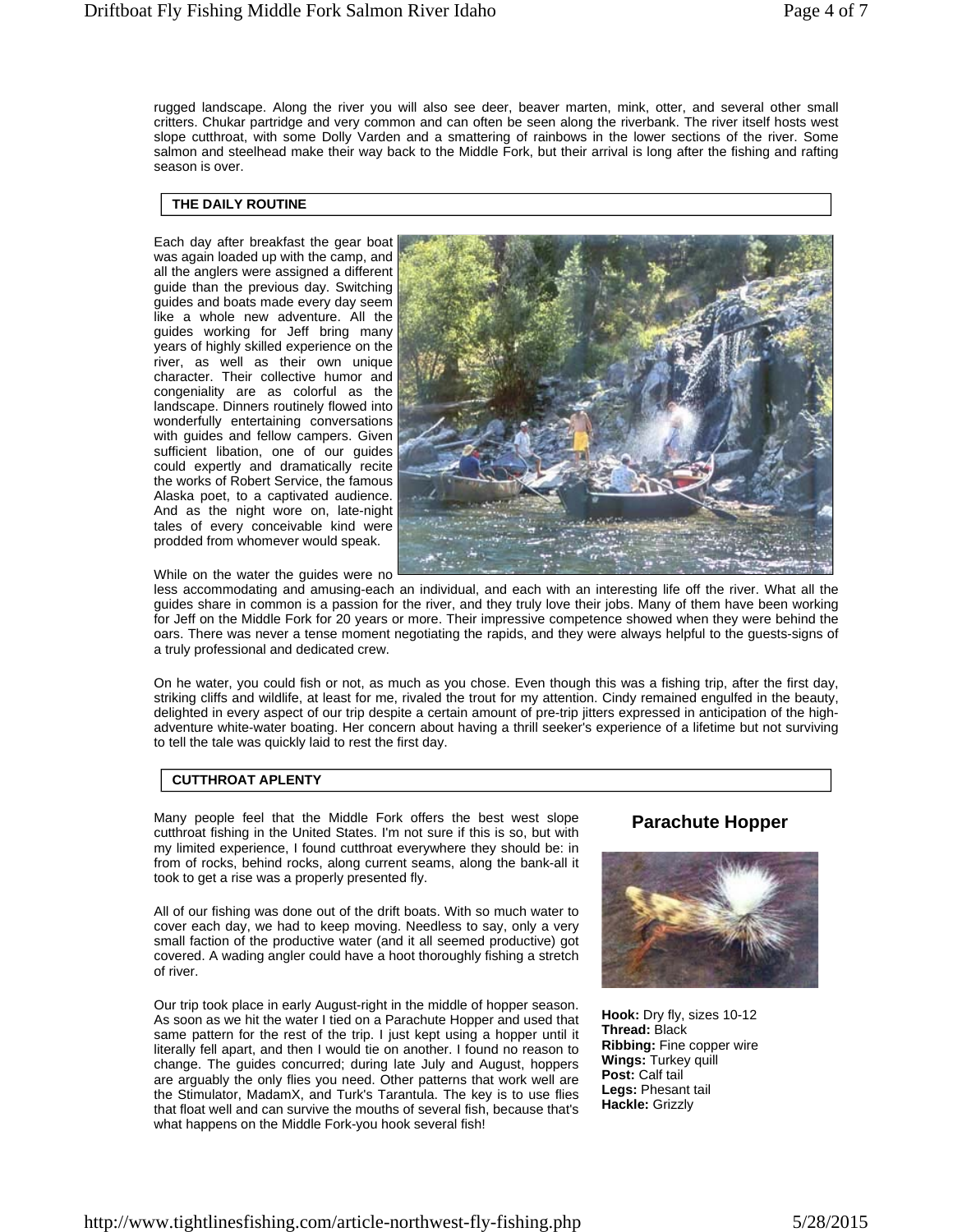rugged landscape. Along the river you will also see deer, beaver marten, mink, otter, and several other small critters. Chukar partridge and very common and can often be seen along the riverbank. The river itself hosts west slope cutthroat, with some Dolly Varden and a smattering of rainbows in the lower sections of the river. Some salmon and steelhead make their way back to the Middle Fork, but their arrival is long after the fishing and rafting season is over.

## **THE DAILY ROUTINE**

Each day after breakfast the gear boat was again loaded up with the camp, and all the anglers were assigned a different guide than the previous day. Switching guides and boats made every day seem like a whole new adventure. All the guides working for Jeff bring many years of highly skilled experience on the river, as well as their own unique character. Their collective humor and congeniality are as colorful as the landscape. Dinners routinely flowed into wonderfully entertaining conversations with guides and fellow campers. Given sufficient libation, one of our guides could expertly and dramatically recite the works of Robert Service, the famous Alaska poet, to a captivated audience. And as the night wore on, late-night tales of every conceivable kind were prodded from whomever would speak.



While on the water the guides were no

less accommodating and amusing-each an individual, and each with an interesting life off the river. What all the guides share in common is a passion for the river, and they truly love their jobs. Many of them have been working for Jeff on the Middle Fork for 20 years or more. Their impressive competence showed when they were behind the oars. There was never a tense moment negotiating the rapids, and they were always helpful to the guests-signs of a truly professional and dedicated crew.

On he water, you could fish or not, as much as you chose. Even though this was a fishing trip, after the first day, striking cliffs and wildlife, at least for me, rivaled the trout for my attention. Cindy remained engulfed in the beauty, delighted in every aspect of our trip despite a certain amount of pre-trip jitters expressed in anticipation of the highadventure white-water boating. Her concern about having a thrill seeker's experience of a lifetime but not surviving to tell the tale was quickly laid to rest the first day.

## **CUTTHROAT APLENTY**

Many people feel that the Middle Fork offers the best west slope cutthroat fishing in the United States. I'm not sure if this is so, but with my limited experience, I found cutthroat everywhere they should be: in from of rocks, behind rocks, along current seams, along the bank-all it took to get a rise was a properly presented fly.

All of our fishing was done out of the drift boats. With so much water to cover each day, we had to keep moving. Needless to say, only a very small faction of the productive water (and it all seemed productive) got covered. A wading angler could have a hoot thoroughly fishing a stretch of river.

Our trip took place in early August-right in the middle of hopper season. As soon as we hit the water I tied on a Parachute Hopper and used that same pattern for the rest of the trip. I just kept using a hopper until it literally fell apart, and then I would tie on another. I found no reason to change. The guides concurred; during late July and August, hoppers are arguably the only flies you need. Other patterns that work well are the Stimulator, MadamX, and Turk's Tarantula. The key is to use flies that float well and can survive the mouths of several fish, because that's what happens on the Middle Fork-you hook several fish!

## **Parachute Hopper**



**Hook:** Dry fly, sizes 10-12 **Thread:** Black **Ribbing:** Fine copper wire **Wings:** Turkey quill **Post:** Calf tail **Legs:** Phesant tail **Hackle:** Grizzly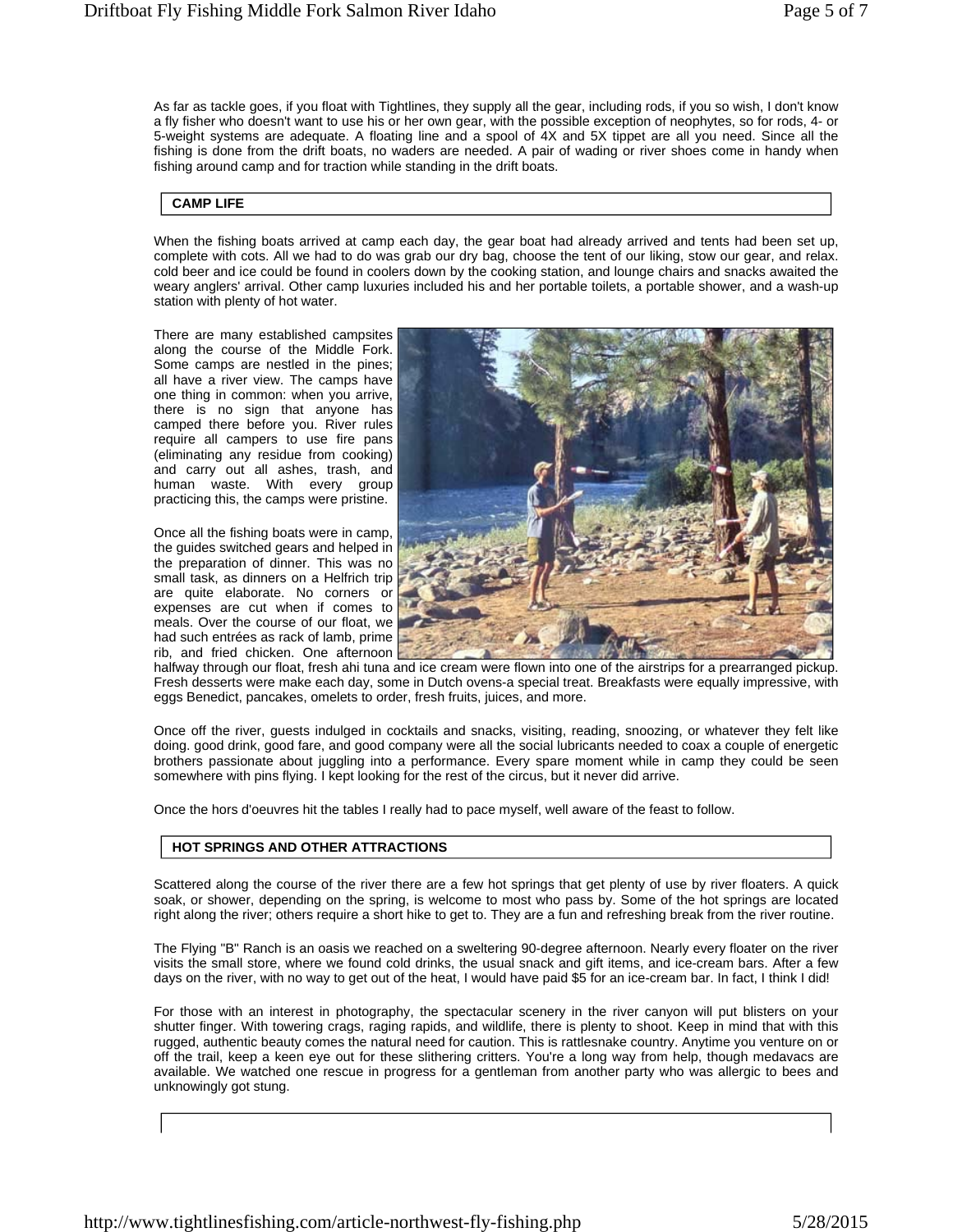As far as tackle goes, if you float with Tightlines, they supply all the gear, including rods, if you so wish, I don't know a fly fisher who doesn't want to use his or her own gear, with the possible exception of neophytes, so for rods, 4- or 5-weight systems are adequate. A floating line and a spool of 4X and 5X tippet are all you need. Since all the fishing is done from the drift boats, no waders are needed. A pair of wading or river shoes come in handy when fishing around camp and for traction while standing in the drift boats.

### **CAMP LIFE**

When the fishing boats arrived at camp each day, the gear boat had already arrived and tents had been set up, complete with cots. All we had to do was grab our dry bag, choose the tent of our liking, stow our gear, and relax. cold beer and ice could be found in coolers down by the cooking station, and lounge chairs and snacks awaited the weary anglers' arrival. Other camp luxuries included his and her portable toilets, a portable shower, and a wash-up station with plenty of hot water.

There are many established campsites along the course of the Middle Fork. Some camps are nestled in the pines; all have a river view. The camps have one thing in common: when you arrive, there is no sign that anyone has camped there before you. River rules require all campers to use fire pans (eliminating any residue from cooking) and carry out all ashes, trash, and human waste. With every group practicing this, the camps were pristine.

Once all the fishing boats were in camp, the guides switched gears and helped in the preparation of dinner. This was no small task, as dinners on a Helfrich trip are quite elaborate. No corners or expenses are cut when if comes to meals. Over the course of our float, we had such entrées as rack of lamb, prime rib, and fried chicken. One afternoon



halfway through our float, fresh ahi tuna and ice cream were flown into one of the airstrips for a prearranged pickup. Fresh desserts were make each day, some in Dutch ovens-a special treat. Breakfasts were equally impressive, with eggs Benedict, pancakes, omelets to order, fresh fruits, juices, and more.

Once off the river, guests indulged in cocktails and snacks, visiting, reading, snoozing, or whatever they felt like doing. good drink, good fare, and good company were all the social lubricants needed to coax a couple of energetic brothers passionate about juggling into a performance. Every spare moment while in camp they could be seen somewhere with pins flying. I kept looking for the rest of the circus, but it never did arrive.

Once the hors d'oeuvres hit the tables I really had to pace myself, well aware of the feast to follow.

### **HOT SPRINGS AND OTHER ATTRACTIONS**

Scattered along the course of the river there are a few hot springs that get plenty of use by river floaters. A quick soak, or shower, depending on the spring, is welcome to most who pass by. Some of the hot springs are located right along the river; others require a short hike to get to. They are a fun and refreshing break from the river routine.

The Flying "B" Ranch is an oasis we reached on a sweltering 90-degree afternoon. Nearly every floater on the river visits the small store, where we found cold drinks, the usual snack and gift items, and ice-cream bars. After a few days on the river, with no way to get out of the heat, I would have paid \$5 for an ice-cream bar. In fact, I think I did!

For those with an interest in photography, the spectacular scenery in the river canyon will put blisters on your shutter finger. With towering crags, raging rapids, and wildlife, there is plenty to shoot. Keep in mind that with this rugged, authentic beauty comes the natural need for caution. This is rattlesnake country. Anytime you venture on or off the trail, keep a keen eye out for these slithering critters. You're a long way from help, though medavacs are available. We watched one rescue in progress for a gentleman from another party who was allergic to bees and unknowingly got stung.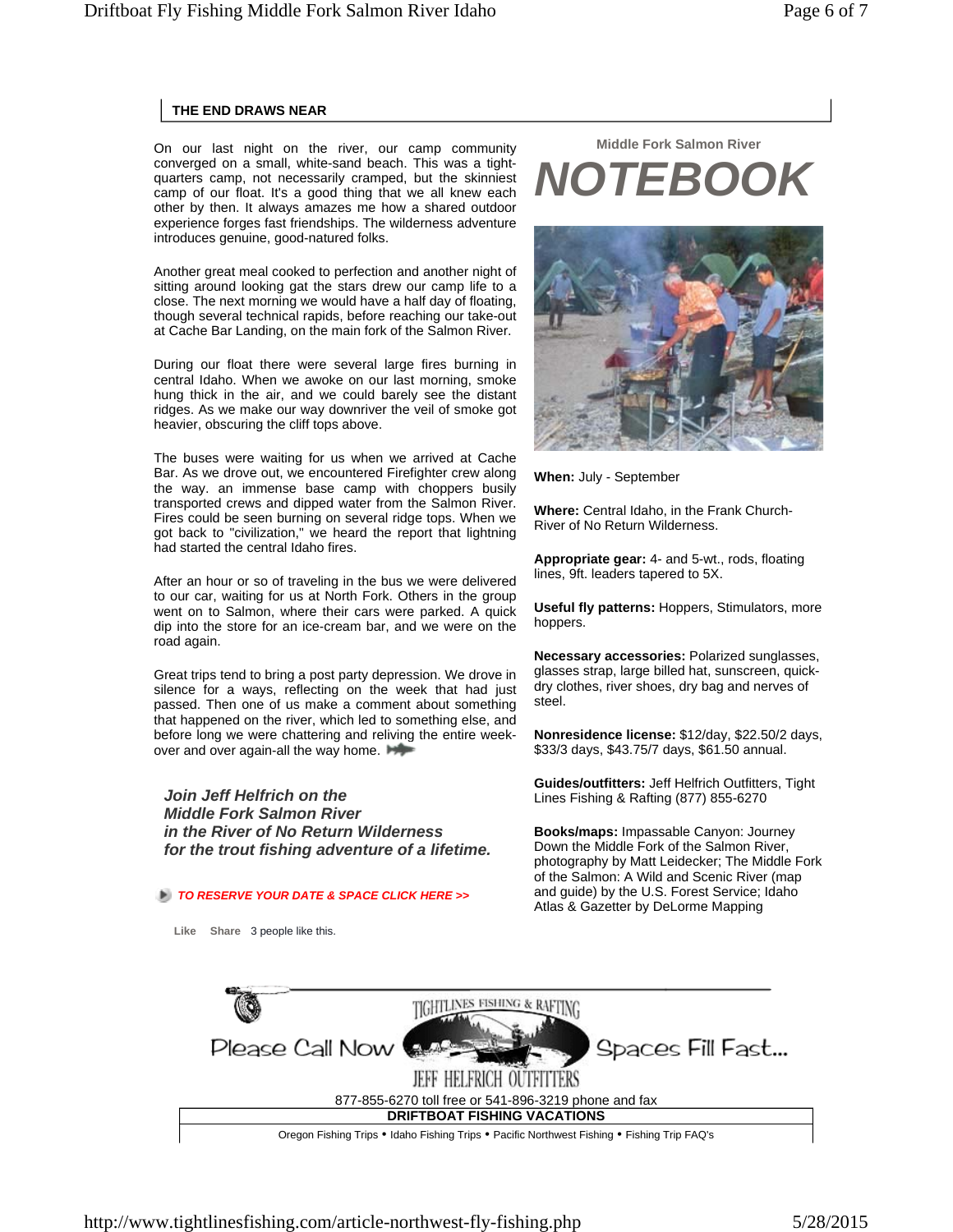## **THE END DRAWS NEAR**

On our last night on the river, our camp community converged on a small, white-sand beach. This was a tightquarters camp, not necessarily cramped, but the skinniest camp of our float. It's a good thing that we all knew each other by then. It always amazes me how a shared outdoor experience forges fast friendships. The wilderness adventure introduces genuine, good-natured folks.

Another great meal cooked to perfection and another night of sitting around looking gat the stars drew our camp life to a close. The next morning we would have a half day of floating, though several technical rapids, before reaching our take-out at Cache Bar Landing, on the main fork of the Salmon River.

During our float there were several large fires burning in central Idaho. When we awoke on our last morning, smoke hung thick in the air, and we could barely see the distant ridges. As we make our way downriver the veil of smoke got heavier, obscuring the cliff tops above.

The buses were waiting for us when we arrived at Cache Bar. As we drove out, we encountered Firefighter crew along the way. an immense base camp with choppers busily transported crews and dipped water from the Salmon River. Fires could be seen burning on several ridge tops. When we got back to "civilization," we heard the report that lightning had started the central Idaho fires.

After an hour or so of traveling in the bus we were delivered to our car, waiting for us at North Fork. Others in the group went on to Salmon, where their cars were parked. A quick dip into the store for an ice-cream bar, and we were on the road again.

Great trips tend to bring a post party depression. We drove in silence for a ways, reflecting on the week that had just passed. Then one of us make a comment about something that happened on the river, which led to something else, and before long we were chattering and reliving the entire weekover and over again-all the way home.

*Join Jeff Helfrich on the Middle Fork Salmon River in the River of No Return Wilderness for the trout fishing adventure of a lifetime.*

## *TO RESERVE YOUR DATE & SPACE CLICK HERE >>*

**Like Share** 3 people like this.

# **Middle Fork Salmon River**  *NOTEBOOK*



**When:** July - September

**Where:** Central Idaho, in the Frank Church-River of No Return Wilderness.

**Appropriate gear:** 4- and 5-wt., rods, floating lines, 9ft. leaders tapered to 5X.

**Useful fly patterns:** Hoppers, Stimulators, more hoppers.

**Necessary accessories:** Polarized sunglasses, glasses strap, large billed hat, sunscreen, quickdry clothes, river shoes, dry bag and nerves of steel.

**Nonresidence license:** \$12/day, \$22.50/2 days, \$33/3 days, \$43.75/7 days, \$61.50 annual.

**Guides/outfitters:** Jeff Helfrich Outfitters, Tight Lines Fishing & Rafting (877) 855-6270

**Books/maps:** Impassable Canyon: Journey Down the Middle Fork of the Salmon River, photography by Matt Leidecker; The Middle Fork of the Salmon: A Wild and Scenic River (map and guide) by the U.S. Forest Service; Idaho Atlas & Gazetter by DeLorme Mapping